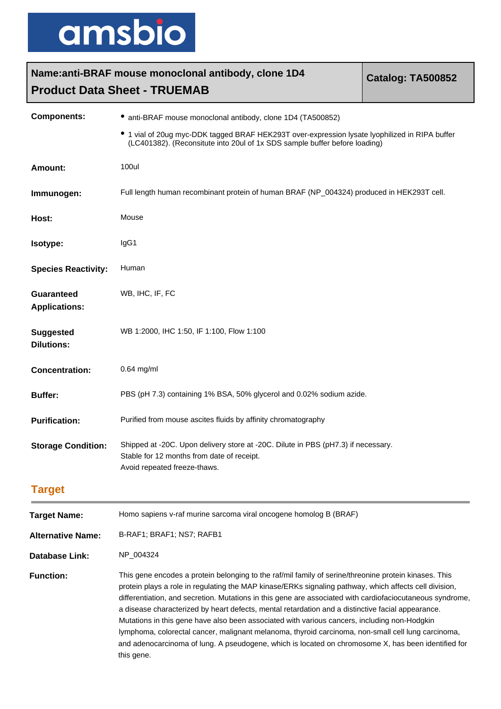

| Name: anti-BRAF mouse monoclonal antibody, clone 1D4<br><b>Catalog: TA500852</b> |                                                                                                                                                                            |  |
|----------------------------------------------------------------------------------|----------------------------------------------------------------------------------------------------------------------------------------------------------------------------|--|
| <b>Product Data Sheet - TRUEMAB</b>                                              |                                                                                                                                                                            |  |
| <b>Components:</b>                                                               | • anti-BRAF mouse monoclonal antibody, clone 1D4 (TA500852)                                                                                                                |  |
|                                                                                  | 1 vial of 20ug myc-DDK tagged BRAF HEK293T over-expression lysate lyophilized in RIPA buffer<br>(LC401382). (Reconsitute into 20ul of 1x SDS sample buffer before loading) |  |
| <b>Amount:</b>                                                                   | 100ul                                                                                                                                                                      |  |
| Immunogen:                                                                       | Full length human recombinant protein of human BRAF (NP_004324) produced in HEK293T cell.                                                                                  |  |
| Host:                                                                            | Mouse                                                                                                                                                                      |  |
| Isotype:                                                                         | IgG1                                                                                                                                                                       |  |
| <b>Species Reactivity:</b>                                                       | Human                                                                                                                                                                      |  |
| Guaranteed<br><b>Applications:</b>                                               | WB, IHC, IF, FC                                                                                                                                                            |  |
| <b>Suggested</b><br><b>Dilutions:</b>                                            | WB 1:2000, IHC 1:50, IF 1:100, Flow 1:100                                                                                                                                  |  |
| <b>Concentration:</b>                                                            | $0.64$ mg/ml                                                                                                                                                               |  |
| <b>Buffer:</b>                                                                   | PBS (pH 7.3) containing 1% BSA, 50% glycerol and 0.02% sodium azide.                                                                                                       |  |
| <b>Purification:</b>                                                             | Purified from mouse ascites fluids by affinity chromatography                                                                                                              |  |
| <b>Storage Condition:</b>                                                        | Shipped at -20C. Upon delivery store at -20C. Dilute in PBS (pH7.3) if necessary.<br>Stable for 12 months from date of receipt.<br>Avoid repeated freeze-thaws.            |  |
| <b>Target</b>                                                                    |                                                                                                                                                                            |  |
| <b>Target Name:</b>                                                              | Homo sapiens v-raf murine sarcoma viral oncogene homolog B (BRAF)                                                                                                          |  |
| <b>Alternative Name:</b>                                                         | B-RAF1; BRAF1; NS7; RAFB1                                                                                                                                                  |  |
| Database Link:                                                                   | NP_004324                                                                                                                                                                  |  |

**Function:** This gene encodes a protein belonging to the raf/mil family of serine/threonine protein kinases. This protein plays a role in regulating the MAP kinase/ERKs signaling pathway, which affects cell division, differentiation, and secretion. Mutations in this gene are associated with cardiofaciocutaneous syndrome, a disease characterized by heart defects, mental retardation and a distinctive facial appearance. Mutations in this gene have also been associated with various cancers, including non-Hodgkin lymphoma, colorectal cancer, malignant melanoma, thyroid carcinoma, non-small cell lung carcinoma, and adenocarcinoma of lung. A pseudogene, which is located on chromosome X, has been identified for this gene.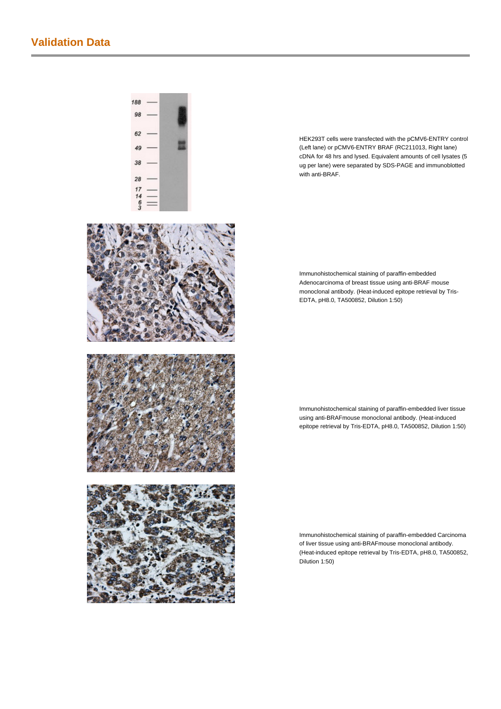## **Validation Data**



 $188$ 98

HEK293T cells were transfected with the pCMV6-ENTRY control (Left lane) or pCMV6-ENTRY BRAF (RC211013, Right lane) cDNA for 48 hrs and lysed. Equivalent amounts of cell lysates (5 ug per lane) were separated by SDS-PAGE and immunoblotted with anti-BRAF.

Immunohistochemical staining of paraffin-embedded Adenocarcinoma of breast tissue using anti-BRAF mouse monoclonal antibody. (Heat-induced epitope retrieval by Tris-EDTA, pH8.0, TA500852, Dilution 1:50)

Immunohistochemical staining of paraffin-embedded liver tissue using anti-BRAFmouse monoclonal antibody. (Heat-induced epitope retrieval by Tris-EDTA, pH8.0, TA500852, Dilution 1:50)

Immunohistochemical staining of paraffin-embedded Carcinoma of liver tissue using anti-BRAFmouse monoclonal antibody. (Heat-induced epitope retrieval by Tris-EDTA, pH8.0, TA500852, Dilution 1:50)